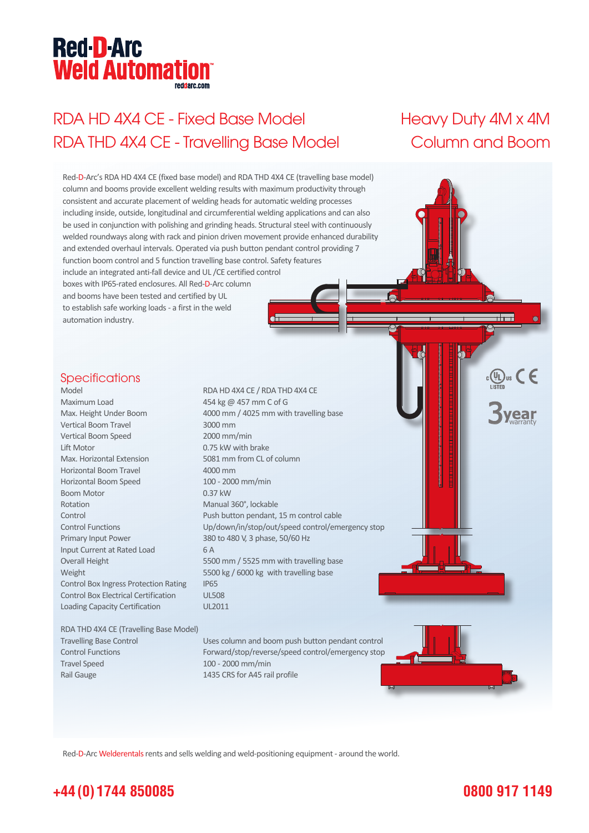# **Red-D-Arc Weld Automation®**

# RDA HD 4X4 CE - Fixed Base Model Heavy Duty 4M x 4M RDA THD 4X4 CE - Travelling Base Model Column and Boom



Red-D-Arc Welderentals rents and sells welding and weld-positioning equipment - around the world.

### **+44 (0) 1744 850085**

#### **0800 917 1149**